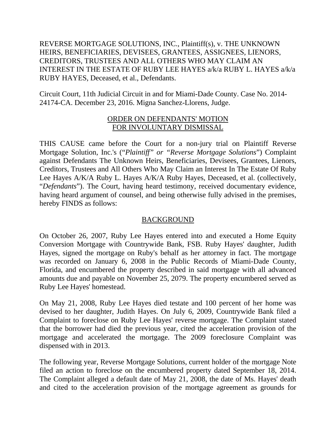REVERSE MORTGAGE SOLUTIONS, INC., Plaintiff(s), v. THE UNKNOWN HEIRS, BENEFICIARIES, DEVISEES, GRANTEES, ASSIGNEES, LIENORS, CREDITORS, TRUSTEES AND ALL OTHERS WHO MAY CLAIM AN INTEREST IN THE ESTATE OF RUBY LEE HAYES a/k/a RUBY L. HAYES a/k/a RUBY HAYES, Deceased, et al., Defendants.

Circuit Court, 11th Judicial Circuit in and for Miami-Dade County. Case No. 2014- 24174-CA. December 23, 2016. Migna Sanchez-Llorens, Judge.

## ORDER ON DEFENDANTS' MOTION FOR INVOLUNTARY DISMISSAL

THIS CAUSE came before the Court for a non-jury trial on Plaintiff Reverse Mortgage Solution, Inc.'s ("*Plaintiff" or "Reverse Mortgage Solutions*") Complaint against Defendants The Unknown Heirs, Beneficiaries, Devisees, Grantees, Lienors, Creditors, Trustees and All Others Who May Claim an Interest In The Estate Of Ruby Lee Hayes A/K/A Ruby L. Hayes A/K/A Ruby Hayes, Deceased, et al. (collectively, "*Defendants*"). The Court, having heard testimony, received documentary evidence, having heard argument of counsel, and being otherwise fully advised in the premises, hereby FINDS as follows:

## BACKGROUND

On October 26, 2007, Ruby Lee Hayes entered into and executed a Home Equity Conversion Mortgage with Countrywide Bank, FSB. Ruby Hayes' daughter, Judith Hayes, signed the mortgage on Ruby's behalf as her attorney in fact. The mortgage was recorded on January 6, 2008 in the Public Records of Miami-Dade County, Florida, and encumbered the property described in said mortgage with all advanced amounts due and payable on November 25, 2079. The property encumbered served as Ruby Lee Hayes' homestead.

On May 21, 2008, Ruby Lee Hayes died testate and 100 percent of her home was devised to her daughter, Judith Hayes. On July 6, 2009, Countrywide Bank filed a Complaint to foreclose on Ruby Lee Hayes' reverse mortgage. The Complaint stated that the borrower had died the previous year, cited the acceleration provision of the mortgage and accelerated the mortgage. The 2009 foreclosure Complaint was dispensed with in 2013.

The following year, Reverse Mortgage Solutions, current holder of the mortgage Note filed an action to foreclose on the encumbered property dated September 18, 2014. The Complaint alleged a default date of May 21, 2008, the date of Ms. Hayes' death and cited to the acceleration provision of the mortgage agreement as grounds for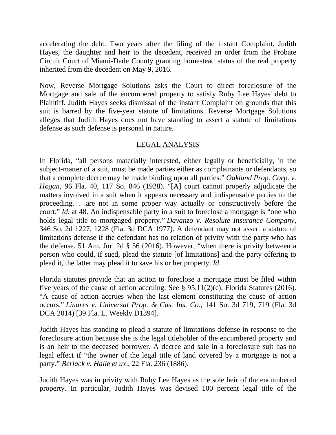accelerating the debt. Two years after the filing of the instant Complaint, Judith Hayes, the daughter and heir to the decedent, received an order from the Probate Circuit Court of Miami-Dade County granting homestead status of the real property inherited from the decedent on May 9, 2016.

Now, Reverse Mortgage Solutions asks the Court to direct foreclosure of the Mortgage and sale of the encumbered property to satisfy Ruby Lee Hayes' debt to Plaintiff. Judith Hayes seeks dismissal of the instant Complaint on grounds that this suit is barred by the five-year statute of limitations. Reverse Mortgage Solutions alleges that Judith Hayes does not have standing to assert a statute of limitations defense as such defense is personal in nature.

## LEGAL ANALYSIS

In Florida, "all persons materially interested, either legally or beneficially, in the subject-matter of a suit, must be made parties either as complainants or defendants, so that a complete decree may be made binding upon all parties." *Oakland Prop. Corp. v. Hogan*, 96 Fla. 40, 117 So. 846 (1928). "[A] court cannot properly adjudicate the matters involved in a suit when it appears necessary and indispensable parties to the proceeding. . .are not in some proper way actually or constructively before the court." *Id.* at 48. An indispensable party in a suit to foreclose a mortgage is "one who holds legal title to mortgaged property." *Davanzo v. Resolute Insurance Company*, 346 So. 2d 1227, 1228 (Fla. 3d DCA 1977). A defendant may not assert a statute of limitations defense if the defendant has no relation of privity with the party who has the defense. 51 Am. Jur. 2d § 56 (2016). However, "when there is privity between a person who could, if sued, plead the statute [of limitations] and the party offering to plead it, the latter may plead it to save his or her property. *Id*.

Florida statutes provide that an action to foreclose a mortgage must be filed within five years of the cause of action accruing. See  $\S$  95.11(2)(c), Florida Statutes (2016). "A cause of action accrues when the last element constituting the cause of action occurs." *Linares v. Universal Prop. & Cas. Ins. Co*., 141 So. 3d 719, 719 (Fla. 3d DCA 2014) [39 Fla. L. Weekly D1394].

Judith Hayes has standing to plead a statute of limitations defense in response to the foreclosure action because she is the legal titleholder of the encumbered property and is an heir to the deceased borrower. A decree and sale in a foreclosure suit has no legal effect if "the owner of the legal title of land covered by a mortgage is not a party." *Berlack v. Halle et ux*., 22 Fla. 236 (1886).

Judith Hayes was in privity with Ruby Lee Hayes as the sole heir of the encumbered property. In particular, Judith Hayes was devised 100 percent legal title of the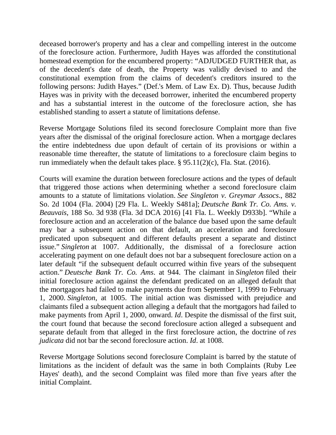deceased borrower's property and has a clear and compelling interest in the outcome of the foreclosure action. Furthermore, Judith Hayes was afforded the constitutional homestead exemption for the encumbered property: "ADJUDGED FURTHER that, as of the decedent's date of death, the Property was validly devised to and the constitutional exemption from the claims of decedent's creditors insured to the following persons: Judith Hayes." (Def.'s Mem. of Law Ex. D). Thus, because Judith Hayes was in privity with the deceased borrower, inherited the encumbered property and has a substantial interest in the outcome of the foreclosure action, she has established standing to assert a statute of limitations defense.

Reverse Mortgage Solutions filed its second foreclosure Complaint more than five years after the dismissal of the original foreclosure action. When a mortgage declares the entire indebtedness due upon default of certain of its provisions or within a reasonable time thereafter, the statute of limitations to a foreclosure claim begins to run immediately when the default takes place. § 95.11(2)(c), Fla. Stat. (2016).

Courts will examine the duration between foreclosure actions and the types of default that triggered those actions when determining whether a second foreclosure claim amounts to a statute of limitations violation. *See Singleton v. Greymar Assocs*., 882 So. 2d 1004 (Fla. 2004) [29 Fla. L. Weekly S481a]; *Deutsche Bank Tr. Co. Ams. v. Beauvais*, 188 So. 3d 938 (Fla. 3d DCA 2016) [41 Fla. L. Weekly D933b]. "While a foreclosure action and an acceleration of the balance due based upon the same default may bar a subsequent action on that default, an acceleration and foreclosure predicated upon subsequent and different defaults present a separate and distinct issue." *Singleton* at 1007. Additionally, the dismissal of a foreclosure action accelerating payment on one default does not bar a subsequent foreclosure action on a later default "if the subsequent default occurred within five years of the subsequent action." *Deutsche Bank Tr. Co. Ams*. at 944. The claimant in *Singleton* filed their initial foreclosure action against the defendant predicated on an alleged default that the mortgagors had failed to make payments due from September 1, 1999 to February 1, 2000. *Singleton*, at 1005. The initial action was dismissed with prejudice and claimants filed a subsequent action alleging a default that the mortgagors had failed to make payments from April 1, 2000, onward. *Id*. Despite the dismissal of the first suit, the court found that because the second foreclosure action alleged a subsequent and separate default from that alleged in the first foreclosure action, the doctrine of *res judicata* did not bar the second foreclosure action. *Id*. at 1008.

Reverse Mortgage Solutions second foreclosure Complaint is barred by the statute of limitations as the incident of default was the same in both Complaints (Ruby Lee Hayes' death), and the second Complaint was filed more than five years after the initial Complaint.